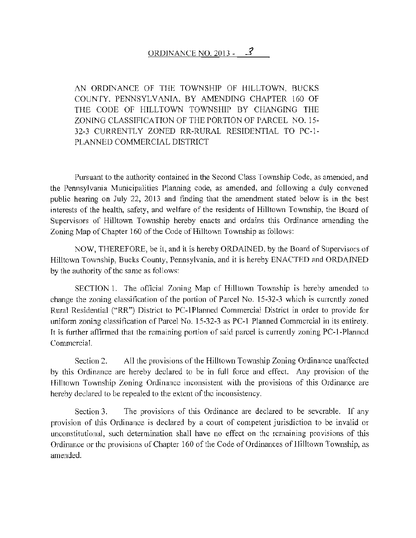## ORDINANCE NO. 2013 -  $\mathcal{S}$

AN ORDINANCE OF TIIE TOWNSHIP OF HILLTOWN, BUCKS COUNTY. PENNSYLVANIA, BY AMENDING CHAPTER 160 OF THE CODE OF HILLTOWN TOWNSHIP BY CHANGING THE ZONING CLASSIFICATION OF THE PORTION OF PARCEL NO. 15- 32-3 CURRENTLY ZONED RR-RURAL RESIDENTIAL TO PC-1- PLANNED COMMERCIAL DISTRICT

Pursuant to the authority contained in the Second Class Township Code, as amended, and the Pennsylvania Municipalities Planning code, as amended, and following a duly convened public hearing on July 22, 2013 and finding that the amendment stated below is in the best interests of the health, safety, and welfare of the residents of Hilltown Township, the Board of Supervisors of Hilltown Township hereby enacts and ordains this Ordinance amending the Zoning Map of Chapter 160 of the Code of Hilltown Township as follows:

NOW, THEREFORE, be it, and it is hereby ORDAINED, by the Board of Supervisors of Hilltown Township, Bucks County, Pennsylvania, and it is hereby ENACTED and ORDAINED by the authority of the same as follows:

SECTION 1. The official Zoning Map of Hilltown Township is hereby amended to change the zoning classification of the portion of Parcel No. 15-32-3 which is currently zoned Rural Residential ("RR") District to PC-1 Planned Commercial District in order to provide for uniform zoning classification of Parcel No. 15-32-3 as PC-1 Planned Commercial in its entirety. It is further affirmed that the remaining portion of said parcel is currently zoning PC-I-Planned Commercial.

Section 2. All the provisions of the Hilltown Township Zoning Ordinance unaffected by this Ordinance are hereby declared to be in full force and effect. Any provision of the Hilltown Township Zoning Ordinance inconsistent with the provisions of this Ordinance are hereby declared to be repealed to the extent of the inconsistency.

Section 3. The provisions of this Ordinance are declared to be severable. If any provision of this Ordinance is declared by a court of competent jurisdiction to be invalid or unconstitutional, such determination shall have no effect on the remaining provisions of this Ordinance or the provisions of Chapter 160 of the Code of Ordinances of Hilltown Township, as amended.